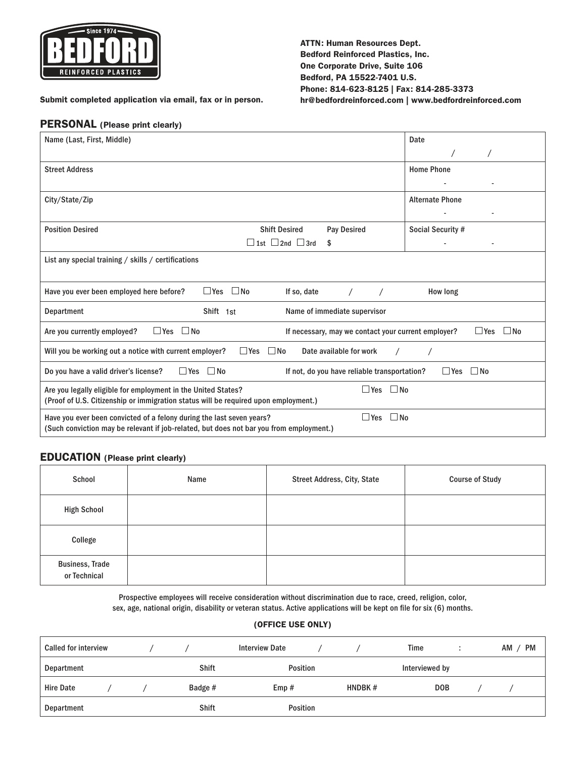

#### ATTN: Human Resources Dept. Bedford Reinforced Plastics, Inc. One Corporate Drive, Suite 106 Bedford, PA 15522-7401 U.S. Phone: 814-623-8125 | Fax: 814-285-3373 [hr@bedfordreinforced.com |](mailto:hr@bedfordreinforced.com)<www.bedfordreinforced.com>

Submit completed application via email, fax or in person.

## PERSONAL (Please print clearly)

| Name (Last, First, Middle)                                                                                                                                                                  | Date                   |  |  |  |  |  |
|---------------------------------------------------------------------------------------------------------------------------------------------------------------------------------------------|------------------------|--|--|--|--|--|
|                                                                                                                                                                                             |                        |  |  |  |  |  |
| <b>Street Address</b>                                                                                                                                                                       | <b>Home Phone</b>      |  |  |  |  |  |
|                                                                                                                                                                                             |                        |  |  |  |  |  |
| City/State/Zip                                                                                                                                                                              | <b>Alternate Phone</b> |  |  |  |  |  |
|                                                                                                                                                                                             |                        |  |  |  |  |  |
| <b>Pay Desired</b><br><b>Position Desired</b><br><b>Shift Desired</b>                                                                                                                       | Social Security #      |  |  |  |  |  |
| $\Box$ 1st $\Box$ 2nd $\Box$ 3rd<br>\$                                                                                                                                                      |                        |  |  |  |  |  |
| List any special training / skills / certifications                                                                                                                                         |                        |  |  |  |  |  |
|                                                                                                                                                                                             |                        |  |  |  |  |  |
| $\Box$ No<br>$\Box$ Yes<br>If so, date<br>Have you ever been employed here before?                                                                                                          | How long               |  |  |  |  |  |
| Shift 1st<br>Name of immediate supervisor<br>Department                                                                                                                                     |                        |  |  |  |  |  |
| $\Box$ Yes<br>$\Box$ No<br>$\Box$ Yes<br>$\Box$ No<br>Are you currently employed?<br>If necessary, may we contact your current employer?                                                    |                        |  |  |  |  |  |
| Will you be working out a notice with current employer?<br>$\Box$ Yes<br>$\Box$ No<br>Date available for work                                                                               |                        |  |  |  |  |  |
| $\Box$ Yes $\Box$ No<br>$\Box$ No<br>Do you have a valid driver's license?<br>If not, do you have reliable transportation?<br>$\Box$ Yes                                                    |                        |  |  |  |  |  |
| $\Box$ No<br>Are you legally eligible for employment in the United States?<br>$\Box$ Yes<br>(Proof of U.S. Citizenship or immigration status will be required upon employment.)             |                        |  |  |  |  |  |
| $\Box$ Yes<br>$\Box$ No<br>Have you ever been convicted of a felony during the last seven years?<br>(Such conviction may be relevant if job-related, but does not bar you from employment.) |                        |  |  |  |  |  |

#### EDUCATION (Please print clearly)

| School                                 | Name | <b>Street Address, City, State</b> | <b>Course of Study</b> |
|----------------------------------------|------|------------------------------------|------------------------|
| <b>High School</b>                     |      |                                    |                        |
| College                                |      |                                    |                        |
| <b>Business, Trade</b><br>or Technical |      |                                    |                        |

Prospective employees will receive consideration without discrimination due to race, creed, religion, color, sex, age, national origin, disability or veteran status. Active applications will be kept on file for six (6) months.

#### (OFFICE USE ONLY)

| <b>Called for interview</b> |  |              | <b>Interview Date</b> |        | Time           |            | <b>PM</b><br>AM |
|-----------------------------|--|--------------|-----------------------|--------|----------------|------------|-----------------|
| Department                  |  | <b>Shift</b> | Position              |        | Interviewed by |            |                 |
| <b>Hire Date</b>            |  | Badge #      | Emp#                  | HNDBK# |                | <b>DOB</b> |                 |
| Department                  |  | <b>Shift</b> | Position              |        |                |            |                 |